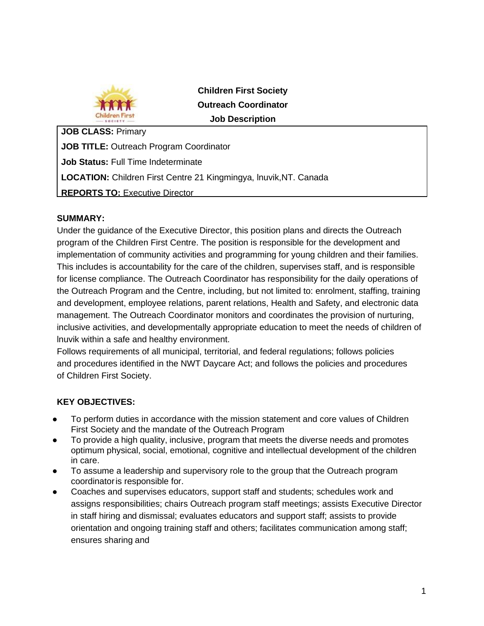

**Children First Society Outreach Coordinator Job Description**

**JOB CLASS:** Primary **JOB TITLE:** Outreach Program Coordinator **Job Status:** Full Time Indeterminate **LOCATION:** Children First Centre 21 Kingmingya, lnuvik,NT. Canada **REPORTS TO: Executive Director** 

## **SUMMARY:**

Under the guidance of the Executive Director, this position plans and directs the Outreach program of the Children First Centre. The position is responsible for the development and implementation of community activities and programming for young children and their families. This includes is accountability for the care of the children, supervises staff, and is responsible for license compliance. The Outreach Coordinator has responsibility for the daily operations of the Outreach Program and the Centre, including, but not limited to: enrolment, staffing, training and development, employee relations, parent relations, Health and Safety, and electronic data management. The Outreach Coordinator monitors and coordinates the provision of nurturing, inclusive activities, and developmentally appropriate education to meet the needs of children of lnuvik within a safe and healthy environment.

Follows requirements of all municipal, territorial, and federal regulations; follows policies and procedures identified in the NWT Daycare Act; and follows the policies and procedures of Children First Society.

## **KEY OBJECTIVES:**

- To perform duties in accordance with the mission statement and core values of Children First Society and the mandate of the Outreach Program
- To provide a high quality, inclusive, program that meets the diverse needs and promotes optimum physical, social, emotional, cognitive and intellectual development of the children in care.
- To assume a leadership and supervisory role to the group that the Outreach program coordinatoris responsible for.
- Coaches and supervises educators, support staff and students; schedules work and assigns responsibilities; chairs Outreach program staff meetings; assists Executive Director in staff hiring and dismissal; evaluates educators and support staff; assists to provide orientation and ongoing training staff and others; facilitates communication among staff; ensures sharing and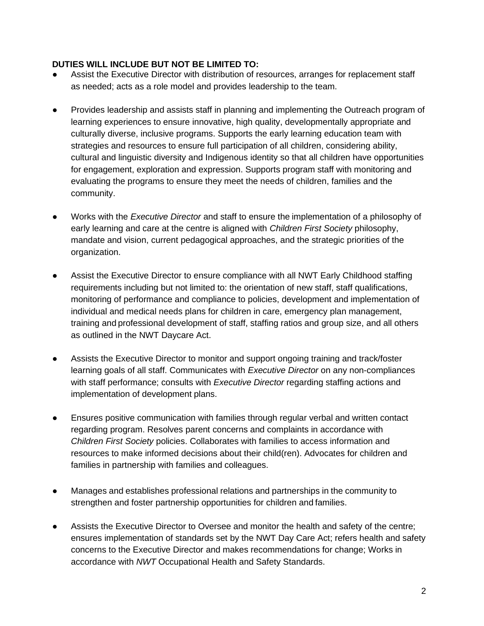## **DUTIES WILL INCLUDE BUT NOT BE LIMITED TO:**

- Assist the Executive Director with distribution of resources, arranges for replacement staff as needed; acts as a role model and provides leadership to the team.
- Provides leadership and assists staff in planning and implementing the Outreach program of learning experiences to ensure innovative, high quality, developmentally appropriate and culturally diverse, inclusive programs. Supports the early learning education team with strategies and resources to ensure full participation of all children, considering ability, cultural and linguistic diversity and Indigenous identity so that all children have opportunities for engagement, exploration and expression. Supports program staff with monitoring and evaluating the programs to ensure they meet the needs of children, families and the community.
- Works with the *Executive Director* and staff to ensure the implementation of a philosophy of early learning and care at the centre is aligned with *Children First Society* philosophy, mandate and vision, current pedagogical approaches, and the strategic priorities of the organization.
- Assist the Executive Director to ensure compliance with all NWT Early Childhood staffing requirements including but not limited to: the orientation of new staff, staff qualifications, monitoring of performance and compliance to policies, development and implementation of individual and medical needs plans for children in care, emergency plan management, training and professional development of staff, staffing ratios and group size, and all others as outlined in the NWT Daycare Act.
- Assists the Executive Director to monitor and support ongoing training and track/foster learning goals of all staff. Communicates with *Executive Director* on any non-compliances with staff performance; consults with *Executive Director* regarding staffing actions and implementation of development plans.
- Ensures positive communication with families through regular verbal and written contact regarding program. Resolves parent concerns and complaints in accordance with *Children First Society* policies. Collaborates with families to access information and resources to make informed decisions about their child(ren). Advocates for children and families in partnership with families and colleagues.
- Manages and establishes professional relations and partnerships in the community to strengthen and foster partnership opportunities for children and families.
- Assists the Executive Director to Oversee and monitor the health and safety of the centre; ensures implementation of standards set by the NWT Day Care Act; refers health and safety concerns to the Executive Director and makes recommendations for change; Works in accordance with *NWT* Occupational Health and Safety Standards.